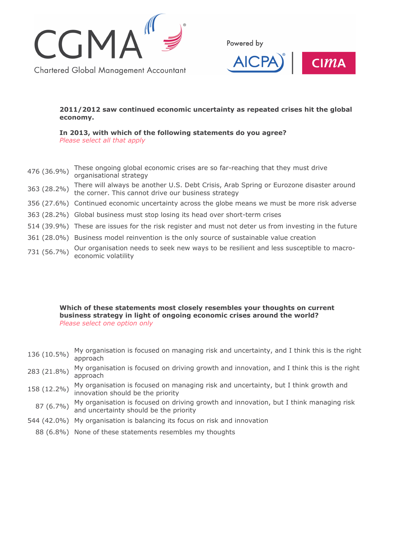

Powered by



## **2011/2012 saw continued economic uncertainty as repeated crises hit the global economy.**

**In 2013, with which of the following statements do you agree?** *Please select all that apply*

- 476 (36.9%) These ongoing global economic crises are so far-reaching that they must drive organisational strategy
- 363 (28.2%) There will always be another U.S. Debt Crisis, Arab Spring or Eurozone disaster around the corner. This cannot drive our business strategy
- 356 (27.6%) Continued economic uncertainty across the globe means we must be more risk adverse
- 363 (28.2%) Global business must stop losing its head over short-term crises
- 514 (39.9%) These are issues for the risk register and must not deter us from investing in the future
- 361 (28.0%) Business model reinvention is the only source of sustainable value creation
- 731 (56.7%) Our organisation needs to seek new ways to be resilient and less susceptible to macroeconomic volatility

**Which of these statements most closely resembles your thoughts on current business strategy in light of ongoing economic crises around the world?** *Please select one option only*

- 136 (10.5%) My organisation is focused on managing risk and uncertainty, and I think this is the right approach
- 283 (21.8%) My organisation is focused on driving growth and innovation, and I think this is the right approach
- 158 (12.2%) My organisation is focused on managing risk and uncertainty, but I think growth and innovation should be the priority
- 87 (6.7%) My organisation is focused on driving growth and innovation, but I think managing risk and uncertainty should be the priority
- 544 (42.0%) My organisation is balancing its focus on risk and innovation
	- 88 (6.8%) None of these statements resembles my thoughts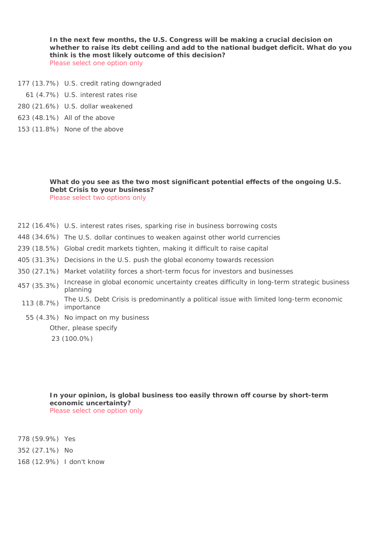**In the next few months, the U.S. Congress will be making a crucial decision on whether to raise its debt ceiling and add to the national budget deficit. What do you think is the most likely outcome of this decision?** *Please select one option only*

- 177 (13.7%) U.S. credit rating downgraded
	- 61 (4.7%) U.S. interest rates rise
- 280 (21.6%) U.S. dollar weakened
- 623 (48.1%) All of the above
- 153 (11.8%) None of the above

### **What do you see as the two most significant potential effects of the ongoing U.S. Debt Crisis to your business?** *Please select two options only*

- 212 (16.4%) U.S. interest rates rises, sparking rise in business borrowing costs
- 448 (34.6%) The U.S. dollar continues to weaken against other world currencies
- 239 (18.5%) Global credit markets tighten, making it difficult to raise capital
- 405 (31.3%) Decisions in the U.S. push the global economy towards recession
- 350 (27.1%) Market volatility forces a short-term focus for investors and businesses
- 457 (35.3%) Increase in global economic uncertainty creates difficulty in long-term strategic business planning
- 113 (8.7%) The U.S. Debt Crisis is predominantly a political issue with limited long-term economic importance
	- 55 (4.3%) No impact on my business

Other, please specify

23 (100.0%)

**In your opinion, is global business too easily thrown off course by short-term economic uncertainty?** *Please select one option only*

778 (59.9%) Yes

352 (27.1%) No

168 (12.9%) I don't know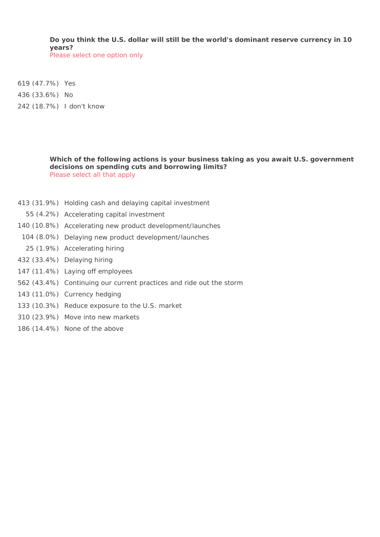**Do you think the U.S. dollar will still be the world's dominant reserve currency in 10 years?** *Please select one option only*

619 (47.7%) Yes

436 (33.6%) No

242 (18.7%) I don't know

**Which of the following actions is your business taking as you await U.S. government decisions on spending cuts and borrowing limits?**

*Please select all that apply*

- 413 (31.9%) Holding cash and delaying capital investment
- 55 (4.2%) Accelerating capital investment
- 140 (10.8%) Accelerating new product development/launches
- 104 (8.0%) Delaying new product development/launches
- 25 (1.9%) Accelerating hiring
- 432 (33.4%) Delaying hiring
- 147 (11.4%) Laying off employees
- 562 (43.4%) Continuing our current practices and ride out the storm
- 143 (11.0%) Currency hedging
- 133 (10.3%) Reduce exposure to the U.S. market
- 310 (23.9%) Move into new markets
- 186 (14.4%) None of the above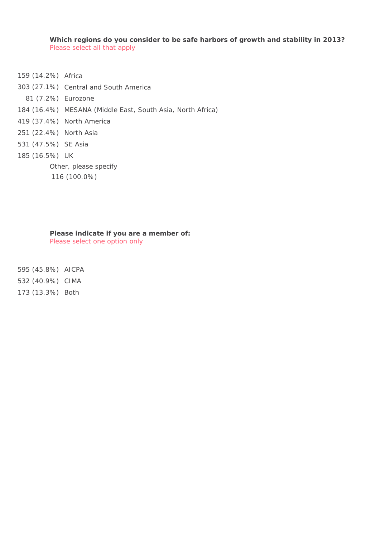**Which regions do you consider to be safe harbors of growth and stability in 2013?** *Please select all that apply*

- 159 (14.2%) Africa
- 303 (27.1%) Central and South America
- 81 (7.2%) Eurozone
- 184 (16.4%) MESANA (Middle East, South Asia, North Africa)
- 419 (37.4%) North America
- 251 (22.4%) North Asia
- 531 (47.5%) SE Asia
- 185 (16.5%) UK

Other, please specify

116 (100.0%)

### **Please indicate if you are a member of:**

*Please select one option only*

595 (45.8%) AICPA

532 (40.9%) CIMA

173 (13.3%) Both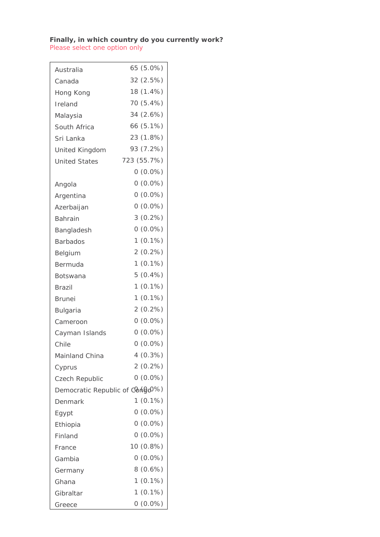## **Finally, in which country do you currently work?**

 $\overline{\phantom{0}}$ 

*Please select one option only*

| Australia                                    | 65 (5.0%)      |
|----------------------------------------------|----------------|
| Canada                                       | 32 (2.5%)      |
| Hong Kong                                    | 18 (1.4%)      |
| Ireland                                      | 70 (5.4%)      |
| Malaysia                                     | 34 (2.6%)      |
| South Africa                                 | 66 (5.1%)      |
| Sri Lanka                                    | 23 (1.8%)      |
| United Kingdom                               | 93 (7.2%)      |
| <b>United States</b>                         | 723 (55.7%)    |
|                                              | $0(0.0\%)$     |
| Angola                                       | $0(0.0\%)$     |
| Argentina                                    | $0(0.0\%)$     |
| Azerbaijan                                   | $0(0.0\%)$     |
| Bahrain                                      | $3(0.2\%)$     |
| Bangladesh                                   | $0(0.0\%)$     |
| <b>Barbados</b>                              | $(0.1\%)$<br>1 |
| Belgium                                      | $2(0.2\%)$     |
| Bermuda                                      | $1(0.1\%)$     |
| Botswana                                     | $5(0.4\%)$     |
| Brazil                                       | $1(0.1\%)$     |
| <b>Brunei</b>                                | $(0.1\%)$<br>1 |
| <b>Bulgaria</b>                              | 2(0.2%)        |
| Cameroon                                     | $0(0.0\%)$     |
| Cayman Islands                               | $0(0.0\%)$     |
| Chile                                        | $0(0.0\%)$     |
| <b>Mainland China</b>                        | $4(0.3\%)$     |
| Cyprus                                       | $2(0.2\%)$     |
| Czech Republic                               | $0(0.0\%)$     |
| Democratic Republic of Congo <sup>0%</sup> ) |                |
| Denmark                                      | $(0.1\%)$<br>1 |
| Egypt                                        | $0(0.0\%)$     |
| Ethiopia                                     | $0(0.0\%)$     |
| Finland                                      | $0(0.0\%)$     |
| France                                       | 10 (0.8%)      |
| Gambia                                       | $0(0.0\%)$     |
| Germany                                      | 8(0.6%)        |
| Ghana                                        | $1(0.1\%)$     |
| Gibraltar                                    | $1(0.1\%)$     |
| Greece                                       | $0(0.0\%)$     |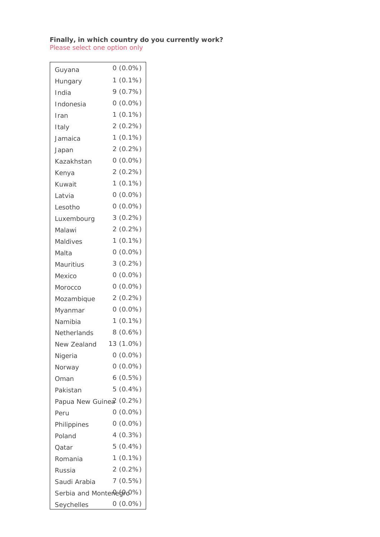## **Finally, in which country do you currently work?**

*Please select one option only*

| Guyana                  |              | $0(0.0\%)$ |
|-------------------------|--------------|------------|
| Hungary                 | 1            | $(0.1\%)$  |
| India                   |              | 9(0.7%)    |
| Indonesia               |              | $0(0.0\%)$ |
| Iran                    | 1            | $(0.1\%)$  |
| Italy                   |              | $2(0.2\%)$ |
| Jamaica                 | $\mathbf{1}$ | $(0.1\%)$  |
| Japan                   |              | $2(0.2\%)$ |
| Kazakhstan              |              | $0(0.0\%)$ |
| Kenya                   |              | $2(0.2\%)$ |
| Kuwait                  | 1.           | $(0.1\%)$  |
| Latvia                  |              | $0(0.0\%)$ |
| Lesotho                 |              | $0(0.0\%)$ |
| Luxembourg              |              | $3(0.2\%)$ |
| Malawi                  |              | $2(0.2\%)$ |
| Maldives                | 1.           | $(0.1\%)$  |
| Malta                   |              | $0(0.0\%)$ |
| Mauritius               |              | $3(0.2\%)$ |
| Mexico                  |              | $0(0.0\%)$ |
| Morocco                 |              | $0(0.0\%)$ |
| Mozambique              |              | $2(0.2\%)$ |
| Myanmar                 |              | $0(0.0\%)$ |
| Namibia                 | 1            | $(0.1\%)$  |
| Netherlands             | 8            | $(0.6\%)$  |
| New Zealand             |              | 13 (1.0%)  |
| Nigeria                 |              | $0(0.0\%)$ |
| Norway                  |              | $0(0.0\%)$ |
| Oman                    |              | $6(0.5\%)$ |
| Pakistan                |              | $5(0.4\%)$ |
| Papua New Guinea (0.2%) |              |            |
| Peru                    |              | $0(0.0\%)$ |
| Philippines             |              | $0(0.0\%)$ |
| Poland                  |              | 4(0.3%)    |
| Oatar                   |              | $5(0.4\%)$ |
| Romania                 |              | $1(0.1\%)$ |
| Russia                  |              | $2(0.2\%)$ |
| Saudi Arabia            |              | 7(0.5%)    |
| Serbia and Montere@@0%) |              |            |
| Seychelles              |              | $0(0.0\%)$ |